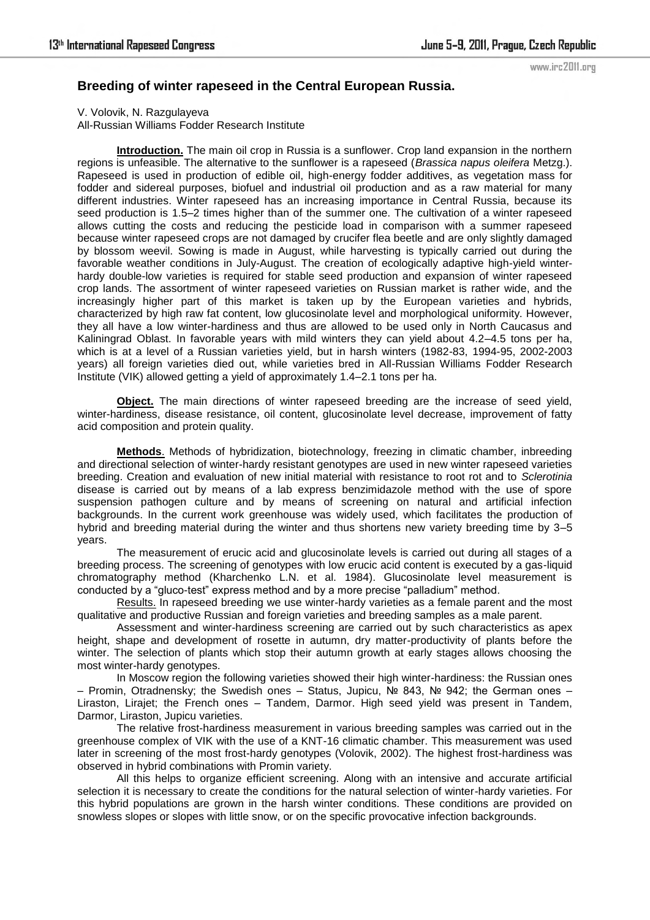## www.irc2011.org

## **Breeding of winter rapeseed in the Central European Russia.**

V. Volovik, N. Razgulayeva All-Russian Williams Fodder Research Institute

**Introduction.** The main oil crop in Russia is a sunflower. Crop land expansion in the northern regions is unfeasible. The alternative to the sunflower is a rapeseed (*Brassica napus oleifera* Metzg.). Rapeseed is used in production of edible oil, high-energy fodder additives, as vegetation mass for fodder and sidereal purposes, biofuel and industrial oil production and as a raw material for many different industries. Winter rapeseed has an increasing importance in Central Russia, because its seed production is 1.5–2 times higher than of the summer one. The cultivation of a winter rapeseed allows cutting the costs and reducing the pesticide load in comparison with a summer rapeseed because winter rapeseed crops are not damaged by crucifer flea beetle and are only slightly damaged by blossom weevil. Sowing is made in August, while harvesting is typically carried out during the favorable weather conditions in July-August. The creation of ecologically adaptive high-yield winterhardy double-low varieties is required for stable seed production and expansion of winter rapeseed crop lands. The assortment of winter rapeseed varieties on Russian market is rather wide, and the increasingly higher part of this market is taken up by the European varieties and hybrids, characterized by high raw fat content, low glucosinolate level and morphological uniformity. However, they all have a low winter-hardiness and thus are allowed to be used only in North Caucasus and Kaliningrad Oblast. In favorable years with mild winters they can yield about 4.2–4.5 tons per ha, which is at a level of a Russian varieties yield, but in harsh winters (1982-83, 1994-95, 2002-2003 years) all foreign varieties died out, while varieties bred in All-Russian Williams Fodder Research Institute (VIK) allowed getting a yield of approximately 1.4–2.1 tons per ha.

**Object.** The main directions of winter rapeseed breeding are the increase of seed yield, winter-hardiness, disease resistance, oil content, glucosinolate level decrease, improvement of fatty acid composition and protein quality.

**Methods**. Methods of hybridization, biotechnology, freezing in climatic chamber, inbreeding and directional selection of winter-hardy resistant genotypes are used in new winter rapeseed varieties breeding. Creation and evaluation of new initial material with resistance to root rot and to *Sclerotinia* disease is carried out by means of a lab express benzimidazole method with the use of spore suspension pathogen culture and by means of screening on natural and artificial infection backgrounds. In the current work greenhouse was widely used, which facilitates the production of hybrid and breeding material during the winter and thus shortens new variety breeding time by 3–5 years.

The measurement of erucic acid and glucosinolate levels is carried out during all stages of a breeding process. The screening of genotypes with low erucic acid content is executed by a gas-liquid chromatography method (Kharchenko L.N. et al. 1984). Glucosinolate level measurement is conducted by a "gluco-test" express method and by a more precise "palladium" method.

Results. In rapeseed breeding we use winter-hardy varieties as a female parent and the most qualitative and productive Russian and foreign varieties and breeding samples as a male parent.

Assessment and winter-hardiness screening are carried out by such characteristics as apex height, shape and development of rosette in autumn, dry matter-productivity of plants before the winter. The selection of plants which stop their autumn growth at early stages allows choosing the most winter-hardy genotypes.

In Moscow region the following varieties showed their high winter-hardiness: the Russian ones – Promin, Otradnensky; the Swedish ones – Status, Jupicu, № 843, № 942; the German ones – Liraston, Lirajet; the French ones – Tandem, Darmor. High seed yield was present in Tandem, Darmor, Liraston, Jupicu varieties.

The relative frost-hardiness measurement in various breeding samples was carried out in the greenhouse complex of VIK with the use of a KNT-16 climatic chamber. This measurement was used later in screening of the most frost-hardy genotypes (Volovik, 2002). The highest frost-hardiness was observed in hybrid combinations with Promin variety.

All this helps to organize efficient screening. Along with an intensive and accurate artificial selection it is necessary to create the conditions for the natural selection of winter-hardy varieties. For this hybrid populations are grown in the harsh winter conditions. These conditions are provided on snowless slopes or slopes with little snow, or on the specific provocative infection backgrounds.